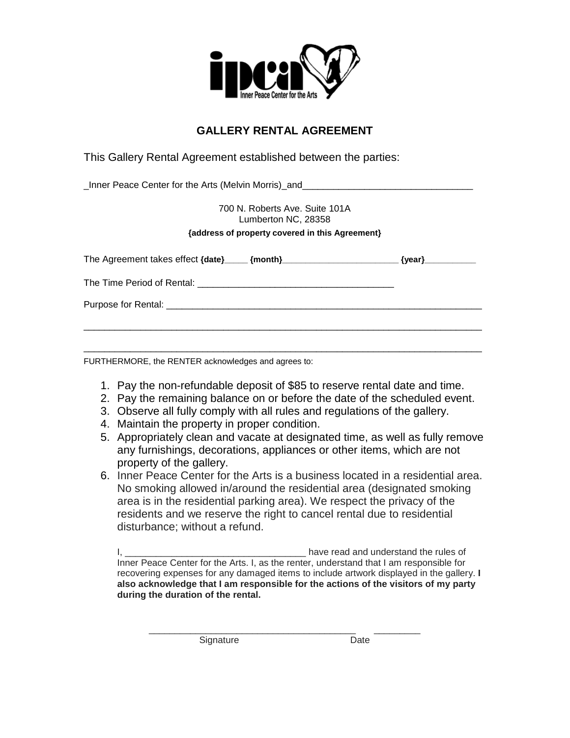

## **GALLERY RENTAL AGREEMENT**

This Gallery Rental Agreement established between the parties:

\_Inner Peace Center for the Arts (Melvin Morris)\_and\_\_\_\_\_\_\_\_\_\_\_\_\_\_\_\_\_\_\_\_\_\_\_\_\_\_\_\_\_\_\_\_\_

700 N. Roberts Ave. Suite 101A Lumberton NC, 28358

## **{address of property covered in this Agreement}**

FURTHERMORE, the RENTER acknowledges and agrees to:

- 1. Pay the non-refundable deposit of \$85 to reserve rental date and time.
- 2. Pay the remaining balance on or before the date of the scheduled event.
- 3. Observe all fully comply with all rules and regulations of the gallery.
- 4. Maintain the property in proper condition.
- 5. Appropriately clean and vacate at designated time, as well as fully remove any furnishings, decorations, appliances or other items, which are not property of the gallery.
- 6. Inner Peace Center for the Arts is a business located in a residential area. No smoking allowed in/around the residential area (designated smoking area is in the residential parking area). We respect the privacy of the residents and we reserve the right to cancel rental due to residential disturbance; without a refund.

I, \_\_\_\_\_\_\_\_\_\_\_\_\_\_\_\_\_\_\_\_\_\_\_\_\_\_\_\_\_\_\_\_\_\_\_ have read and understand the rules of Inner Peace Center for the Arts. I, as the renter, understand that I am responsible for recovering expenses for any damaged items to include artwork displayed in the gallery. **I also acknowledge that I am responsible for the actions of the visitors of my party during the duration of the rental.** 

\_\_\_\_\_\_\_\_\_\_\_\_\_\_\_\_\_\_\_\_\_\_\_\_\_\_\_\_\_\_\_\_\_\_\_\_\_\_\_\_ \_\_\_\_\_\_\_\_\_ Signature Date